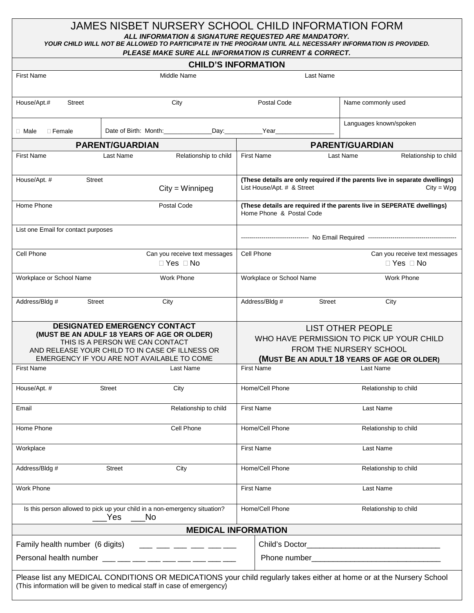## JAMES NISBET NURSERY SCHOOL CHILD INFORMATION FORM *ALL INFORMATION & SIGNATURE REQUESTED ARE MANDATORY. YOUR CHILD WILL NOT BE ALLOWED TO PARTICIPATE IN THE PROGRAM UNTIL ALL NECESSARY INFORMATION IS PROVIDED. PLEASE MAKE SURE ALL INFORMATION IS CURRENT & CORRECT.*

|                                                                                                                                                                                                                 |                                                                                                                                                                                                | FLEASE MANE SURE ALL INFURMATION IS CURRENT & CURRECT.                                                                                          |                                                                                             |  |  |
|-----------------------------------------------------------------------------------------------------------------------------------------------------------------------------------------------------------------|------------------------------------------------------------------------------------------------------------------------------------------------------------------------------------------------|-------------------------------------------------------------------------------------------------------------------------------------------------|---------------------------------------------------------------------------------------------|--|--|
| <b>CHILD'S INFORMATION</b>                                                                                                                                                                                      |                                                                                                                                                                                                |                                                                                                                                                 |                                                                                             |  |  |
| <b>First Name</b>                                                                                                                                                                                               | Middle Name                                                                                                                                                                                    | Last Name                                                                                                                                       |                                                                                             |  |  |
| House/Apt.#<br><b>Street</b>                                                                                                                                                                                    | City                                                                                                                                                                                           | Postal Code                                                                                                                                     | Name commonly used                                                                          |  |  |
| $\Box$ Male<br>$\Box$ Female                                                                                                                                                                                    | Date of Birth: Month:                                                                                                                                                                          | Day: Year                                                                                                                                       | Languages known/spoken                                                                      |  |  |
|                                                                                                                                                                                                                 | <b>PARENT/GUARDIAN</b>                                                                                                                                                                         |                                                                                                                                                 | <b>PARENT/GUARDIAN</b>                                                                      |  |  |
| <b>First Name</b>                                                                                                                                                                                               | Relationship to child<br>Last Name                                                                                                                                                             | <b>First Name</b>                                                                                                                               | Relationship to child<br>Last Name                                                          |  |  |
| House/Apt. #<br><b>Street</b>                                                                                                                                                                                   | $City = Winnipeg$                                                                                                                                                                              | List House/Apt. # & Street                                                                                                                      | (These details are only required if the parents live in separate dwellings)<br>$City = Wpg$ |  |  |
| Home Phone                                                                                                                                                                                                      | Postal Code                                                                                                                                                                                    | (These details are required if the parents live in SEPERATE dwellings)<br>Home Phone & Postal Code                                              |                                                                                             |  |  |
| List one Email for contact purposes                                                                                                                                                                             |                                                                                                                                                                                                |                                                                                                                                                 |                                                                                             |  |  |
| Cell Phone                                                                                                                                                                                                      | Can you receive text messages<br>$\Box$ Yes $\Box$ No                                                                                                                                          | Cell Phone                                                                                                                                      | Can you receive text messages<br>$\Box$ Yes $\Box$ No                                       |  |  |
| Workplace or School Name                                                                                                                                                                                        | Work Phone                                                                                                                                                                                     | Workplace or School Name                                                                                                                        | <b>Work Phone</b>                                                                           |  |  |
| Address/Bldg #<br>Street                                                                                                                                                                                        | City                                                                                                                                                                                           | Address/Bldg #<br><b>Street</b>                                                                                                                 | City                                                                                        |  |  |
| DESIGNATED EMERGENCY CONTACT<br>(MUST BE AN ADULF 18 YEARS OF AGE OR OLDER)<br>THIS IS A PERSON WE CAN CONTACT<br>AND RELEASE YOUR CHILD TO IN CASE OF ILLNESS OR<br>EMERGENCY IF YOU ARE NOT AVAILABLE TO COME |                                                                                                                                                                                                | <b>LIST OTHER PEOPLE</b><br>WHO HAVE PERMISSION TO PICK UP YOUR CHILD<br>FROM THE NURSERY SCHOOL<br>(MUST BE AN ADULT 18 YEARS OF AGE OR OLDER) |                                                                                             |  |  |
| <b>First Name</b>                                                                                                                                                                                               | Last Name                                                                                                                                                                                      | <b>First Name</b>                                                                                                                               | Last Name                                                                                   |  |  |
| House/Apt. #                                                                                                                                                                                                    | <b>Street</b><br>City                                                                                                                                                                          | Home/Cell Phone                                                                                                                                 | Relationship to child                                                                       |  |  |
| Email                                                                                                                                                                                                           | Relationship to child                                                                                                                                                                          | <b>First Name</b>                                                                                                                               | Last Name                                                                                   |  |  |
| Home Phone                                                                                                                                                                                                      | Cell Phone                                                                                                                                                                                     | Home/Cell Phone                                                                                                                                 | Relationship to child                                                                       |  |  |
| Workplace                                                                                                                                                                                                       |                                                                                                                                                                                                | <b>First Name</b>                                                                                                                               | Last Name                                                                                   |  |  |
| Address/Bldg #                                                                                                                                                                                                  | City<br><b>Street</b>                                                                                                                                                                          | Home/Cell Phone                                                                                                                                 | Relationship to child                                                                       |  |  |
| <b>Work Phone</b>                                                                                                                                                                                               |                                                                                                                                                                                                | <b>First Name</b>                                                                                                                               | Last Name                                                                                   |  |  |
| Is this person allowed to pick up your child in a non-emergency situation?<br><b>No</b><br>Yes                                                                                                                  |                                                                                                                                                                                                | Home/Cell Phone                                                                                                                                 | Relationship to child                                                                       |  |  |
|                                                                                                                                                                                                                 | <b>MEDICAL INFORMATION</b>                                                                                                                                                                     |                                                                                                                                                 |                                                                                             |  |  |
| Family health number (6 digits)<br>____ ___ ___ ___ ___ ___                                                                                                                                                     |                                                                                                                                                                                                |                                                                                                                                                 |                                                                                             |  |  |
|                                                                                                                                                                                                                 | Personal health number ___ __ __ __ __ __ __ __ __ __ __ __                                                                                                                                    |                                                                                                                                                 |                                                                                             |  |  |
|                                                                                                                                                                                                                 | Please list any MEDICAL CONDITIONS OR MEDICATIONS your child regularly takes either at home or at the Nursery School<br>(This information will be given to medical staff in case of emergency) |                                                                                                                                                 |                                                                                             |  |  |